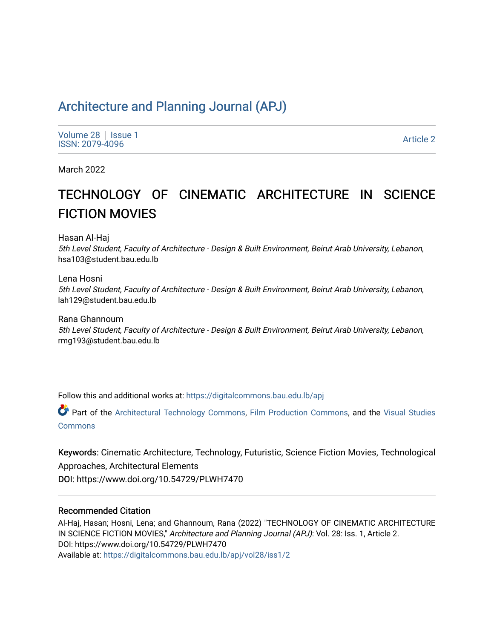# [Architecture and Planning Journal \(APJ\)](https://digitalcommons.bau.edu.lb/apj)

[Volume 28](https://digitalcommons.bau.edu.lb/apj/vol28) | [Issue 1](https://digitalcommons.bau.edu.lb/apj/vol28/iss1) Produce 26 | ISSN: 1<br>ISSN: 2079-4096 Article 2

March 2022

# TECHNOLOGY OF CINEMATIC ARCHITECTURE IN SCIENCE FICTION MOVIES

Hasan Al-Haj

5th Level Student, Faculty of Architecture - Design & Built Environment, Beirut Arab University, Lebanon, hsa103@student.bau.edu.lb

Lena Hosni

5th Level Student, Faculty of Architecture - Design & Built Environment, Beirut Arab University, Lebanon, lah129@student.bau.edu.lb

Rana Ghannoum 5th Level Student, Faculty of Architecture - Design & Built Environment, Beirut Arab University, Lebanon, rmg193@student.bau.edu.lb

Follow this and additional works at: [https://digitalcommons.bau.edu.lb/apj](https://digitalcommons.bau.edu.lb/apj?utm_source=digitalcommons.bau.edu.lb%2Fapj%2Fvol28%2Fiss1%2F2&utm_medium=PDF&utm_campaign=PDFCoverPages) 

Part of the [Architectural Technology Commons](http://network.bepress.com/hgg/discipline/1194?utm_source=digitalcommons.bau.edu.lb%2Fapj%2Fvol28%2Fiss1%2F2&utm_medium=PDF&utm_campaign=PDFCoverPages), [Film Production Commons,](http://network.bepress.com/hgg/discipline/1290?utm_source=digitalcommons.bau.edu.lb%2Fapj%2Fvol28%2Fiss1%2F2&utm_medium=PDF&utm_campaign=PDFCoverPages) and the Visual Studies [Commons](http://network.bepress.com/hgg/discipline/564?utm_source=digitalcommons.bau.edu.lb%2Fapj%2Fvol28%2Fiss1%2F2&utm_medium=PDF&utm_campaign=PDFCoverPages)

Keywords: Cinematic Architecture, Technology, Futuristic, Science Fiction Movies, Technological Approaches, Architectural Elements DOI: https://www.doi.org/10.54729/PLWH7470

## Recommended Citation

Al-Haj, Hasan; Hosni, Lena; and Ghannoum, Rana (2022) "TECHNOLOGY OF CINEMATIC ARCHITECTURE IN SCIENCE FICTION MOVIES," Architecture and Planning Journal (APJ): Vol. 28: Iss. 1, Article 2. DOI: https://www.doi.org/10.54729/PLWH7470 Available at: [https://digitalcommons.bau.edu.lb/apj/vol28/iss1/2](https://digitalcommons.bau.edu.lb/apj/vol28/iss1/2?utm_source=digitalcommons.bau.edu.lb%2Fapj%2Fvol28%2Fiss1%2F2&utm_medium=PDF&utm_campaign=PDFCoverPages)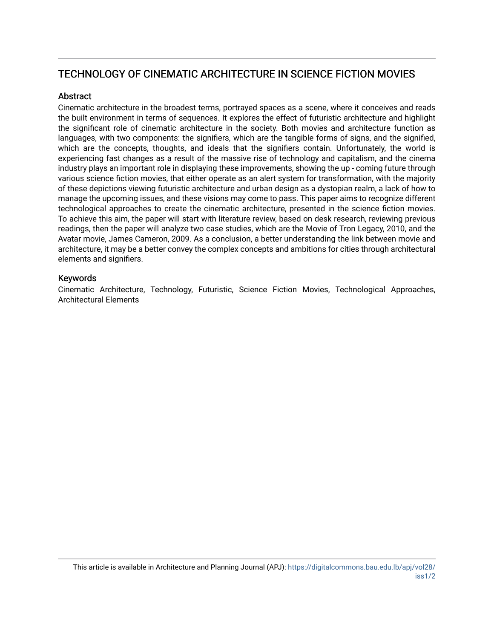## TECHNOLOGY OF CINEMATIC ARCHITECTURE IN SCIENCE FICTION MOVIES

## Abstract

Cinematic architecture in the broadest terms, portrayed spaces as a scene, where it conceives and reads the built environment in terms of sequences. It explores the effect of futuristic architecture and highlight the significant role of cinematic architecture in the society. Both movies and architecture function as languages, with two components: the signifiers, which are the tangible forms of signs, and the signified, which are the concepts, thoughts, and ideals that the signifiers contain. Unfortunately, the world is experiencing fast changes as a result of the massive rise of technology and capitalism, and the cinema industry plays an important role in displaying these improvements, showing the up - coming future through various science fiction movies, that either operate as an alert system for transformation, with the majority of these depictions viewing futuristic architecture and urban design as a dystopian realm, a lack of how to manage the upcoming issues, and these visions may come to pass. This paper aims to recognize different technological approaches to create the cinematic architecture, presented in the science fiction movies. To achieve this aim, the paper will start with literature review, based on desk research, reviewing previous readings, then the paper will analyze two case studies, which are the Movie of Tron Legacy, 2010, and the Avatar movie, James Cameron, 2009. As a conclusion, a better understanding the link between movie and architecture, it may be a better convey the complex concepts and ambitions for cities through architectural elements and signifiers.

## Keywords

Cinematic Architecture, Technology, Futuristic, Science Fiction Movies, Technological Approaches, Architectural Elements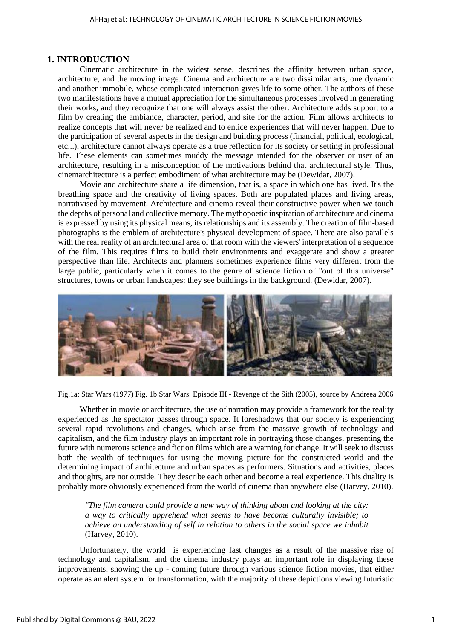#### **1. INTRODUCTION**

Cinematic architecture in the widest sense, describes the affinity between urban space, architecture, and the moving image. Cinema and architecture are two dissimilar arts, one dynamic and another immobile, whose complicated interaction gives life to some other. The authors of these two manifestations have a mutual appreciation for the simultaneous processes involved in generating their works, and they recognize that one will always assist the other. Architecture adds support to a film by creating the ambiance, character, period, and site for the action. Film allows architects to realize concepts that will never be realized and to entice experiences that will never happen. Due to the participation of several aspects in the design and building process (financial, political, ecological, etc...), architecture cannot always operate as a true reflection for its society or setting in professional life. These elements can sometimes muddy the message intended for the observer or user of an architecture, resulting in a misconception of the motivations behind that architectural style. Thus, cinemarchitecture is a perfect embodiment of what architecture may be (Dewidar, 2007).

Movie and architecture share a life dimension, that is, a space in which one has lived. It's the breathing space and the creativity of living spaces. Both are populated places and living areas, narrativised by movement. Architecture and cinema reveal their constructive power when we touch the depths of personal and collective memory. The mythopoetic inspiration of architecture and cinema is expressed by using its physical means, its relationships and its assembly. The creation of film-based photographs is the emblem of architecture's physical development of space. There are also parallels with the real reality of an architectural area of that room with the viewers' interpretation of a sequence of the film. This requires films to build their environments and exaggerate and show a greater perspective than life. Architects and planners sometimes experience films very different from the large public, particularly when it comes to the genre of science fiction of "out of this universe" structures, towns or urban landscapes: they see buildings in the background. (Dewidar, 2007).



Fig.1a: Star Wars (1977) Fig. 1b Star Wars: Episode III - Revenge of the Sith (2005), source by Andreea 2006

Whether in movie or architecture, the use of narration may provide a framework for the reality experienced as the spectator passes through space. It foreshadows that our society is experiencing several rapid revolutions and changes, which arise from the massive growth of technology and capitalism, and the film industry plays an important role in portraying those changes, presenting the future with numerous science and fiction films which are a warning for change. It will seek to discuss both the wealth of techniques for using the moving picture for the constructed world and the determining impact of architecture and urban spaces as performers. Situations and activities, places and thoughts, are not outside. They describe each other and become a real experience. This duality is probably more obviously experienced from the world of cinema than anywhere else (Harvey, 2010).

*"The film camera could provide a new way of thinking about and looking at the city: a way to critically apprehend what seems to have become culturally invisible; to achieve an understanding of self in relation to others in the social space we inhabit*  (Harvey, 2010).

Unfortunately, the world is experiencing fast changes as a result of the massive rise of technology and capitalism, and the cinema industry plays an important role in displaying these improvements, showing the up - coming future through various science fiction movies, that either operate as an alert system for transformation, with the majority of these depictions viewing futuristic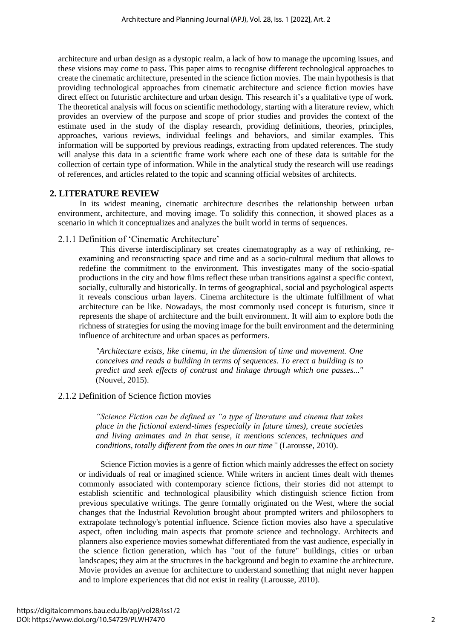architecture and urban design as a dystopic realm, a lack of how to manage the upcoming issues, and these visions may come to pass. This paper aims to recognise different technological approaches to create the cinematic architecture, presented in the science fiction movies. The main hypothesis is that providing technological approaches from cinematic architecture and science fiction movies have direct effect on futuristic architecture and urban design. This research it's a qualitative type of work. The theoretical analysis will focus on scientific methodology, starting with a literature review, which provides an overview of the purpose and scope of prior studies and provides the context of the estimate used in the study of the display research, providing definitions, theories, principles, approaches, various reviews, individual feelings and behaviors, and similar examples. This information will be supported by previous readings, extracting from updated references. The study will analyse this data in a scientific frame work where each one of these data is suitable for the collection of certain type of information. While in the analytical study the research will use readings of references, and articles related to the topic and scanning official websites of architects.

## **2. LITERATURE REVIEW**

In its widest meaning, cinematic architecture describes the relationship between urban environment, architecture, and moving image. To solidify this connection, it showed places as a scenario in which it conceptualizes and analyzes the built world in terms of sequences.

## 2.1.1 Definition of 'Cinematic Architecture'

This diverse interdisciplinary set creates cinematography as a way of rethinking, reexamining and reconstructing space and time and as a socio-cultural medium that allows to redefine the commitment to the environment. This investigates many of the socio-spatial productions in the city and how films reflect these urban transitions against a specific context, socially, culturally and historically. In terms of geographical, social and psychological aspects it reveals conscious urban layers. Cinema architecture is the ultimate fulfillment of what architecture can be like. Nowadays, the most commonly used concept is futurism, since it represents the shape of architecture and the built environment. It will aim to explore both the richness of strategies for using the moving image for the built environment and the determining influence of architecture and urban spaces as performers.

*"Architecture exists, like cinema, in the dimension of time and movement. One conceives and reads a building in terms of sequences. To erect a building is to predict and seek effects of contrast and linkage through which one passes..."*  (Nouvel, 2015).

## 2.1.2 Definition of Science fiction movies

*"Science Fiction can be defined as "a type of literature and cinema that takes place in the fictional extend-times (especially in future times), create societies and living animates and in that sense, it mentions sciences, techniques and conditions, totally different from the ones in our time"* (Larousse, 2010).

Science Fiction movies is a genre of fiction which mainly addresses the effect on society or individuals of real or imagined science. While writers in ancient times dealt with themes commonly associated with contemporary science fictions, their stories did not attempt to establish scientific and technological plausibility which distinguish science fiction from previous speculative writings. The genre formally originated on the West, where the social changes that the Industrial Revolution brought about prompted writers and philosophers to extrapolate technology's potential influence. Science fiction movies also have a speculative aspect, often including main aspects that promote science and technology. Architects and planners also experience movies somewhat differentiated from the vast audience, especially in the science fiction generation, which has "out of the future" buildings, cities or urban landscapes; they aim at the structures in the background and begin to examine the architecture. Movie provides an avenue for architecture to understand something that might never happen and to implore experiences that did not exist in reality (Larousse, 2010).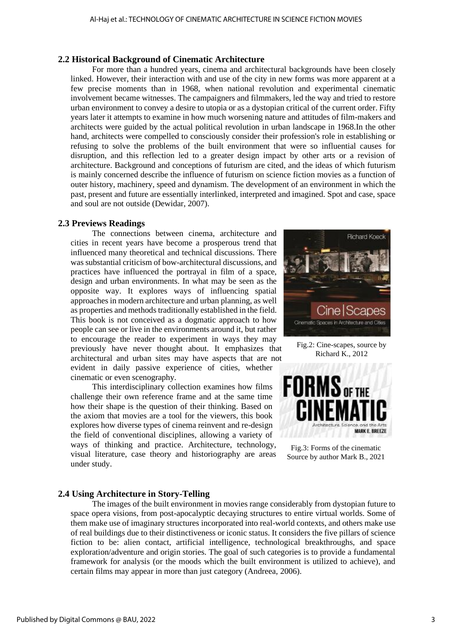## **2.2 Historical Background of Cinematic Architecture**

For more than a hundred years, cinema and architectural backgrounds have been closely linked. However, their interaction with and use of the city in new forms was more apparent at a few precise moments than in 1968, when national revolution and experimental cinematic involvement became witnesses. The campaigners and filmmakers, led the way and tried to restore urban environment to convey a desire to utopia or as a dystopian critical of the current order. Fifty years later it attempts to examine in how much worsening nature and attitudes of film-makers and architects were guided by the actual political revolution in urban landscape in 1968.In the other hand, architects were compelled to consciously consider their profession's role in establishing or refusing to solve the problems of the built environment that were so influential causes for disruption, and this reflection led to a greater design impact by other arts or a revision of architecture. Background and conceptions of futurism are cited, and the ideas of which futurism is mainly concerned describe the influence of futurism on science fiction movies as a function of outer history, machinery, speed and dynamism. The development of an environment in which the past, present and future are essentially interlinked, interpreted and imagined. Spot and case, space and soul are not outside (Dewidar, 2007).

## **2.3 Previews Readings**

The connections between cinema, architecture and cities in recent years have become a prosperous trend that influenced many theoretical and technical discussions. There was substantial criticism of bow-architectural discussions, and practices have influenced the portrayal in film of a space, design and urban environments. In what may be seen as the opposite way. It explores ways of influencing spatial approaches in modern architecture and urban planning, as well as properties and methods traditionally established in the field. This book is not conceived as a dogmatic approach to how people can see or live in the environments around it, but rather to encourage the reader to experiment in ways they may previously have never thought about. It emphasizes that architectural and urban sites may have aspects that are not evident in daily passive experience of cities, whether cinematic or even scenography.

This interdisciplinary collection examines how films challenge their own reference frame and at the same time how their shape is the question of their thinking. Based on the axiom that movies are a tool for the viewers, this book explores how diverse types of cinema reinvent and re-design the field of conventional disciplines, allowing a variety of ways of thinking and practice. Architecture, technology, visual literature, case theory and historiography are areas under study.



Fig.2: Cine-scapes, source by Richard K., 2012



Fig.3: Forms of the cinematic Source by author Mark B., 2021

## **2.4 Using Architecture in Story-Telling**

The images of the built environment in movies range considerably from dystopian future to space opera visions, from post-apocalyptic decaying structures to entire virtual worlds. Some of them make use of imaginary structures incorporated into real-world contexts, and others make use of real buildings due to their distinctiveness or iconic status. It considers the five pillars of science fiction to be: alien contact, artificial intelligence, technological breakthroughs, and space exploration/adventure and origin stories. The goal of such categories is to provide a fundamental framework for analysis (or the moods which the built environment is utilized to achieve), and certain films may appear in more than just category (Andreea, 2006).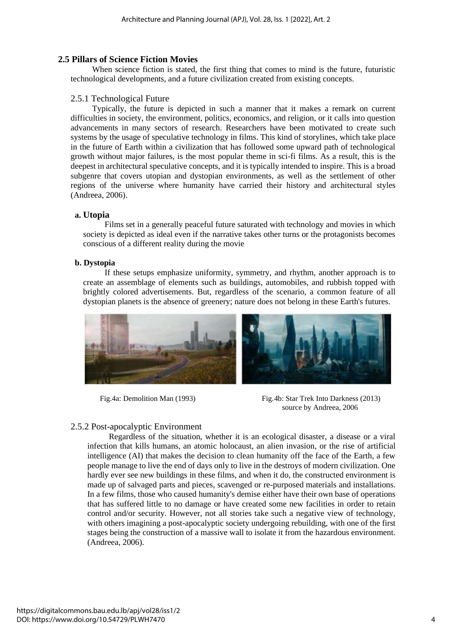## **2.5 Pillars of Science Fiction Movies**

When science fiction is stated, the first thing that comes to mind is the future, futuristic technological developments, and a future civilization created from existing concepts.

## 2.5.1 Technological Future

Typically, the future is depicted in such a manner that it makes a remark on current difficulties in society, the environment, politics, economics, and religion, or it calls into question advancements in many sectors of research. Researchers have been motivated to create such systems by the usage of speculative technology in films. This kind of storylines, which take place in the future of Earth within a civilization that has followed some upward path of technological growth without major failures, is the most popular theme in sci-fi films. As a result, this is the deepest in architectural speculative concepts, and it is typically intended to inspire. This is a broad subgenre that covers utopian and dystopian environments, as well as the settlement of other regions of the universe where humanity have carried their history and architectural styles (Andreea, 2006).

## **a. Utopia**

Films set in a generally peaceful future saturated with technology and movies in which society is depicted as ideal even if the narrative takes other turns or the protagonists becomes conscious of a different reality during the movie

## **b. Dystopia**

If these setups emphasize uniformity, symmetry, and rhythm, another approach is to create an assemblage of elements such as buildings, automobiles, and rubbish topped with brightly colored advertisements. But, regardless of the scenario, a common feature of all dystopian planets is the absence of greenery; nature does not belong in these Earth's futures.



Fig.4a: Demolition Man (1993) Fig.4b: Star Trek Into Darkness (2013) source by Andreea, 2006

## 2.5.2 Post-apocalyptic Environment

Regardless of the situation, whether it is an ecological disaster, a disease or a viral infection that kills humans, an atomic holocaust, an alien invasion, or the rise of artificial intelligence (AI) that makes the decision to clean humanity off the face of the Earth, a few people manage to live the end of days only to live in the destroys of modern civilization. One hardly ever see new buildings in these films, and when it do, the constructed environment is made up of salvaged parts and pieces, scavenged or re-purposed materials and installations. In a few films, those who caused humanity's demise either have their own base of operations that has suffered little to no damage or have created some new facilities in order to retain control and/or security. However, not all stories take such a negative view of technology, with others imagining a post-apocalyptic society undergoing rebuilding, with one of the first stages being the construction of a massive wall to isolate it from the hazardous environment. (Andreea, 2006).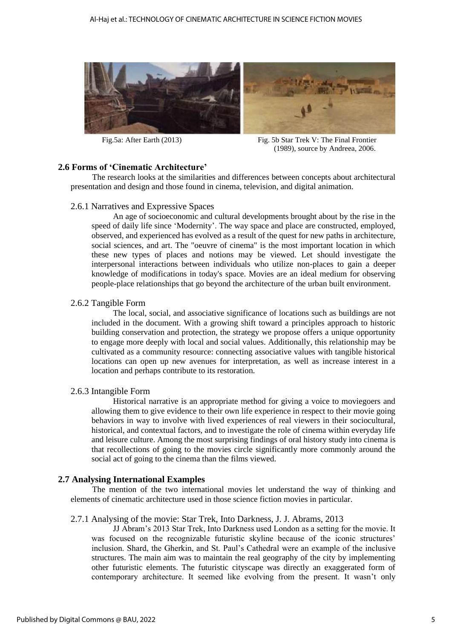

Fig.5a: After Earth (2013) Fig. 5b Star Trek V: The Final Frontier (1989), source by Andreea, 2006.

## **2.6 Forms of 'Cinematic Architecture'**

The research looks at the similarities and differences between concepts about architectural presentation and design and those found in cinema, television, and digital animation.

#### 2.6.1 Narratives and Expressive Spaces

An age of socioeconomic and cultural developments brought about by the rise in the speed of daily life since 'Modernity'. The way space and place are constructed, employed, observed, and experienced has evolved as a result of the quest for new paths in architecture, social sciences, and art. The "oeuvre of cinema" is the most important location in which these new types of places and notions may be viewed. Let should investigate the interpersonal interactions between individuals who utilize non-places to gain a deeper knowledge of modifications in today's space. Movies are an ideal medium for observing people-place relationships that go beyond the architecture of the urban built environment.

#### 2.6.2 Tangible Form

The local, social, and associative significance of locations such as buildings are not included in the document. With a growing shift toward a principles approach to historic building conservation and protection, the strategy we propose offers a unique opportunity to engage more deeply with local and social values. Additionally, this relationship may be cultivated as a community resource: connecting associative values with tangible historical locations can open up new avenues for interpretation, as well as increase interest in a location and perhaps contribute to its restoration.

## 2.6.3 Intangible Form

Historical narrative is an appropriate method for giving a voice to moviegoers and allowing them to give evidence to their own life experience in respect to their movie going behaviors in way to involve with lived experiences of real viewers in their sociocultural, historical, and contextual factors, and to investigate the role of cinema within everyday life and leisure culture. Among the most surprising findings of oral history study into cinema is that recollections of going to the movies circle significantly more commonly around the social act of going to the cinema than the films viewed.

## **2.7 Analysing International Examples**

The mention of the two international movies let understand the way of thinking and elements of cinematic architecture used in those science fiction movies in particular.

#### 2.7.1 Analysing of the movie: Star Trek, Into Darkness, J. J. Abrams, 2013

JJ Abram's 2013 Star Trek, Into Darkness used London as a setting for the movie. It was focused on the recognizable futuristic skyline because of the iconic structures' inclusion. Shard, the Gherkin, and St. Paul's Cathedral were an example of the inclusive structures. The main aim was to maintain the real geography of the city by implementing other futuristic elements. The futuristic cityscape was directly an exaggerated form of contemporary architecture. It seemed like evolving from the present. It wasn't only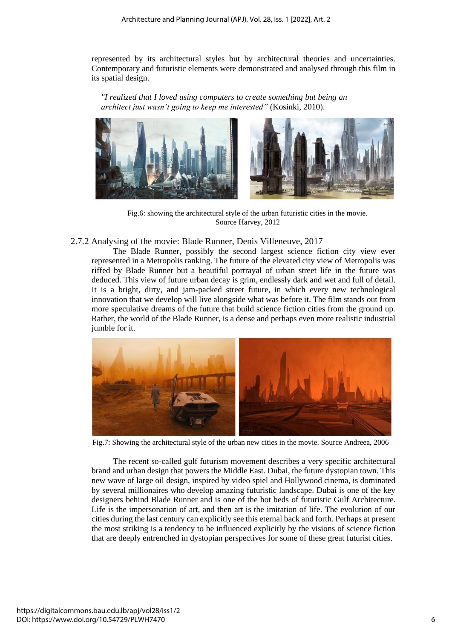represented by its architectural styles but by architectural theories and uncertainties. Contemporary and futuristic elements were demonstrated and analysed through this film in its spatial design.

*"I realized that I loved using computers to create something but being an architect just wasn't going to keep me interested"* (Kosinki, 2010).



Fig.6: showing the architectural style of the urban futuristic cities in the movie. Source Harvey, 2012

2.7.2 Analysing of the movie: Blade Runner, Denis Villeneuve, 2017

The Blade Runner, possibly the second largest science fiction city view ever represented in a Metropolis ranking. The future of the elevated city view of Metropolis was riffed by Blade Runner but a beautiful portrayal of urban street life in the future was deduced. This view of future urban decay is grim, endlessly dark and wet and full of detail. It is a bright, dirty, and jam-packed street future, in which every new technological innovation that we develop will live alongside what was before it. The film stands out from more speculative dreams of the future that build science fiction cities from the ground up. Rather, the world of the Blade Runner, is a dense and perhaps even more realistic industrial jumble for it.



Fig.7: Showing the architectural style of the urban new cities in the movie. Source Andreea, 2006

The recent so-called gulf futurism movement describes a very specific architectural brand and urban design that powers the Middle East. Dubai, the future dystopian town. This new wave of large oil design, inspired by video spiel and Hollywood cinema, is dominated by several millionaires who develop amazing futuristic landscape. Dubai is one of the key designers behind Blade Runner and is one of the hot beds of futuristic Gulf Architecture. Life is the impersonation of art, and then art is the imitation of life. The evolution of our cities during the last century can explicitly see this eternal back and forth. Perhaps at present the most striking is a tendency to be influenced explicitly by the visions of science fiction that are deeply entrenched in dystopian perspectives for some of these great futurist cities.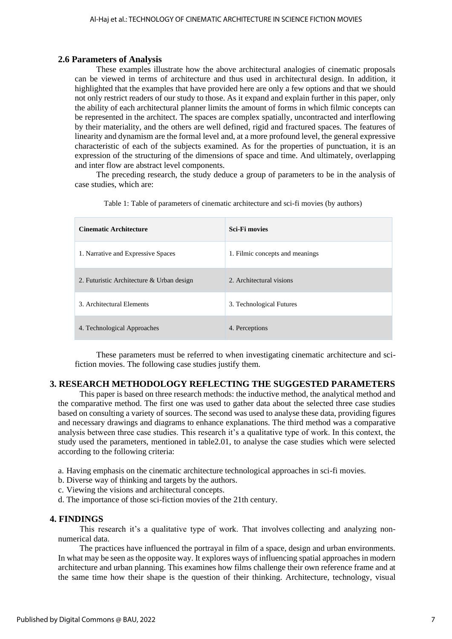## **2.6 Parameters of Analysis**

These examples illustrate how the above architectural analogies of cinematic proposals can be viewed in terms of architecture and thus used in architectural design. In addition, it highlighted that the examples that have provided here are only a few options and that we should not only restrict readers of our study to those. As it expand and explain further in this paper, only the ability of each architectural planner limits the amount of forms in which filmic concepts can be represented in the architect. The spaces are complex spatially, uncontracted and interflowing by their materiality, and the others are well defined, rigid and fractured spaces. The features of linearity and dynamism are the formal level and, at a more profound level, the general expressive characteristic of each of the subjects examined. As for the properties of punctuation, it is an expression of the structuring of the dimensions of space and time. And ultimately, overlapping and inter flow are abstract level components.

The preceding research, the study deduce a group of parameters to be in the analysis of case studies, which are:

| <b>Cinematic Architecture</b>             | <b>Sci-Fi movies</b>            |
|-------------------------------------------|---------------------------------|
| 1. Narrative and Expressive Spaces        | 1. Filmic concepts and meanings |
| 2. Futuristic Architecture & Urban design | 2. Architectural visions        |
| 3. Architectural Elements                 | 3. Technological Futures        |
| 4. Technological Approaches               | 4. Perceptions                  |

Table 1: Table of parameters of cinematic architecture and sci-fi movies (by authors)

These parameters must be referred to when investigating cinematic architecture and scifiction movies. The following case studies justify them.

## **3. RESEARCH METHODOLOGY REFLECTING THE SUGGESTED PARAMETERS**

This paper is based on three research methods: the inductive method, the analytical method and the comparative method. The first one was used to gather data about the selected three case studies based on consulting a variety of sources. The second was used to analyse these data, providing figures and necessary drawings and diagrams to enhance explanations. The third method was a comparative analysis between three case studies. This research it's a qualitative type of work. In this context, the study used the parameters, mentioned in table2.01, to analyse the case studies which were selected according to the following criteria:

a. Having emphasis on the cinematic architecture technological approaches in sci-fi movies.

- b. Diverse way of thinking and targets by the authors.
- c. Viewing the visions and architectural concepts.
- d. The importance of those sci-fiction movies of the 21th century.

## **4. FINDINGS**

This research it's a qualitative type of work. That involves collecting and analyzing nonnumerical data.

The practices have influenced the portrayal in film of a space, design and urban environments. In what may be seen as the opposite way. It explores ways of influencing spatial approaches in modern architecture and urban planning. This examines how films challenge their own reference frame and at the same time how their shape is the question of their thinking. Architecture, technology, visual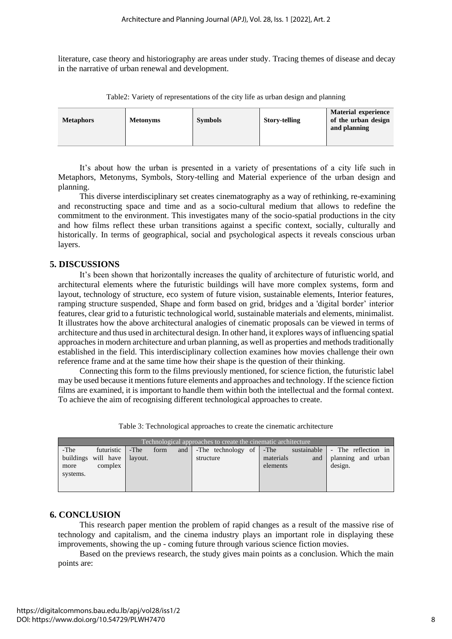literature, case theory and historiography are areas under study. Tracing themes of disease and decay in the narrative of urban renewal and development.

| <b>Metaphors</b> | <b>Metonyms</b> | <b>Symbols</b> | <b>Story-telling</b> | <b>Material experience</b><br>of the urban design<br>and planning |
|------------------|-----------------|----------------|----------------------|-------------------------------------------------------------------|

Table2: Variety of representations of the city life as urban design and planning

It's about how the urban is presented in a variety of presentations of a city life such in Metaphors, Metonyms, Symbols, Story-telling and Material experience of the urban design and planning.

This diverse interdisciplinary set creates cinematography as a way of rethinking, re-examining and reconstructing space and time and as a socio-cultural medium that allows to redefine the commitment to the environment. This investigates many of the socio-spatial productions in the city and how films reflect these urban transitions against a specific context, socially, culturally and historically. In terms of geographical, social and psychological aspects it reveals conscious urban layers.

## **5. DISCUSSIONS**

It's been shown that horizontally increases the quality of architecture of futuristic world, and architectural elements where the futuristic buildings will have more complex systems, form and layout, technology of structure, eco system of future vision, sustainable elements, Interior features, ramping structure suspended, Shape and form based on grid, bridges and a 'digital border' interior features, clear grid to a futuristic technological world, sustainable materials and elements, minimalist. It illustrates how the above architectural analogies of cinematic proposals can be viewed in terms of architecture and thus used in architectural design. In other hand, it explores ways of influencing spatial approaches in modern architecture and urban planning, as well as properties and methods traditionally established in the field. This interdisciplinary collection examines how movies challenge their own reference frame and at the same time how their shape is the question of their thinking.

Connecting this form to the films previously mentioned, for science fiction, the futuristic label may be used because it mentions future elements and approaches and technology. If the science fiction films are examined, it is important to handle them within both the intellectual and the formal context. To achieve the aim of recognising different technological approaches to create.

Table 3: Technological approaches to create the cinematic architecture

| Technological approaches to create the cinematic architecture |                                                        |      |      |     |           |  |                       |     |                                                                                          |
|---------------------------------------------------------------|--------------------------------------------------------|------|------|-----|-----------|--|-----------------------|-----|------------------------------------------------------------------------------------------|
| -The<br>more<br>systems.                                      | futuristic  <br>buildings will have layout.<br>complex | -The | form | and | structure |  | materials<br>elements | and | -The technology of -The sustainable - The reflection in<br>planning and urban<br>design. |

## **6. CONCLUSION**

This research paper mention the problem of rapid changes as a result of the massive rise of technology and capitalism, and the cinema industry plays an important role in displaying these improvements, showing the up - coming future through various science fiction movies.

Based on the previews research, the study gives main points as a conclusion. Which the main points are: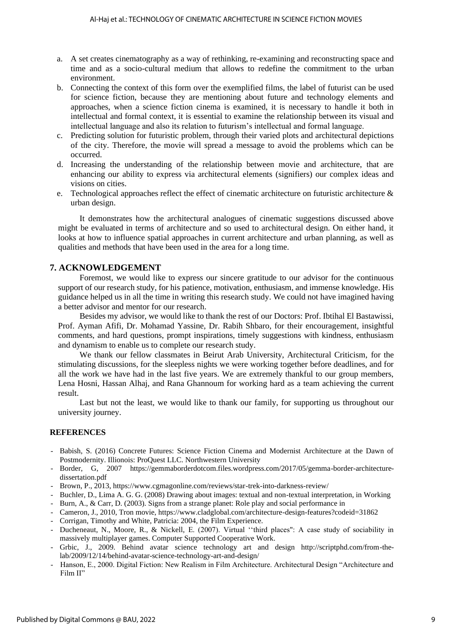- a. A set creates cinematography as a way of rethinking, re-examining and reconstructing space and time and as a socio-cultural medium that allows to redefine the commitment to the urban environment.
- b. Connecting the context of this form over the exemplified films, the label of futurist can be used for science fiction, because they are mentioning about future and technology elements and approaches, when a science fiction cinema is examined, it is necessary to handle it both in intellectual and formal context, it is essential to examine the relationship between its visual and intellectual language and also its relation to futurism's intellectual and formal language.
- c. Predicting solution for futuristic problem, through their varied plots and architectural depictions of the city. Therefore, the movie will spread a message to avoid the problems which can be occurred.
- d. Increasing the understanding of the relationship between movie and architecture, that are enhancing our ability to express via architectural elements (signifiers) our complex ideas and visions on cities.
- e. Technological approaches reflect the effect of cinematic architecture on futuristic architecture & urban design.

It demonstrates how the architectural analogues of cinematic suggestions discussed above might be evaluated in terms of architecture and so used to architectural design. On either hand, it looks at how to influence spatial approaches in current architecture and urban planning, as well as qualities and methods that have been used in the area for a long time.

## **7. ACKNOWLEDGEMENT**

Foremost, we would like to express our sincere gratitude to our advisor for the continuous support of our research study, for his patience, motivation, enthusiasm, and immense knowledge. His guidance helped us in all the time in writing this research study. We could not have imagined having a better advisor and mentor for our research.

Besides my advisor, we would like to thank the rest of our Doctors: Prof. Ibtihal El Bastawissi, Prof. Ayman Afifi, Dr. Mohamad Yassine, Dr. Rabih Shbaro, for their encouragement, insightful comments, and hard questions, prompt inspirations, timely suggestions with kindness, enthusiasm and dynamism to enable us to complete our research study.

We thank our fellow classmates in Beirut Arab University, Architectural Criticism, for the stimulating discussions, for the sleepless nights we were working together before deadlines, and for all the work we have had in the last five years. We are extremely thankful to our group members, Lena Hosni, Hassan Alhaj, and Rana Ghannoum for working hard as a team achieving the current result.

Last but not the least, we would like to thank our family, for supporting us throughout our university journey.

## **REFERENCES**

- Babish, S. (2016) Concrete Futures: Science Fiction Cinema and Modernist Architecture at the Dawn of Postmodernity. Illionois: ProQuest LLC. Northwestern University
- Border, G, 2007 https://gemmaborderdotcom.files.wordpress.com/2017/05/gemma-border-architecturedissertation.pdf
- Brown, P., 2013, https://www.cgmagonline.com/reviews/star-trek-into-darkness-review/
- Buchler, D., Lima A. G. G. (2008) Drawing about images: textual and non-textual interpretation, in Working
- Burn, A., & Carr, D. (2003). Signs from a strange planet: Role play and social performance in
- Cameron, J., 2010, Tron movie, https://www.cladglobal.com/architecture-design-features?codeid=31862
- Corrigan, Timothy and White, Patricia: 2004, the Film Experience.
- Ducheneaut, N., Moore, R., & Nickell, E. (2007). Virtual ''third places": A case study of sociability in massively multiplayer games. Computer Supported Cooperative Work.
- Grbic, J., 2009. Behind avatar science technology art and design http://scriptphd.com/from-thelab/2009/12/14/behind-avatar-science-technology-art-and-design/
- Hanson, E., 2000. Digital Fiction: New Realism in Film Architecture. Architectural Design "Architecture and Film II"